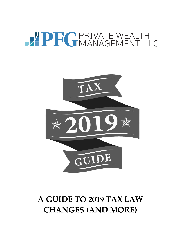# PRIVATE WEALTH



## **A GUIDE TO 2019 TAX LAW CHANGES (AND MORE)**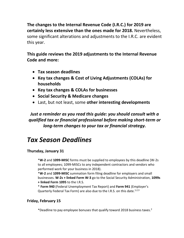**The changes to the Internal Revenue Code (I.R.C.) for 2019 are certainly less extensive than the ones made for 2018.** Nevertheless, some significant alterations and adjustments to the I.R.C. are evident this year.

**This guide reviews the 2019 adjustments to the Internal Revenue Code and more:** 

- **Tax season deadlines**
- **Key tax changes & Cost of Living Adjustments (COLAs) for households**
- **Key tax changes & COLAs for businesses**
- **Social Security & Medicare changes**
- Last, but not least, some **other interesting developments**

*Just a reminder as you read this guide: you should consult with a qualified tax or financial professional before making short-term or long-term changes to your tax or financial strategy.*

## *Tax Season Deadlines*

#### **Thursday, January 31**

\***W-2** and **1099-MISC** forms must be supplied to employees by this deadline (W-2s to all employees; 1099-MISCs to any independent contractors and vendors who performed work for your business in 2018).

\***W-2** and **1099-MISC** summation form filing deadline for employers and small businesses. **W-2s + linked Form W-3** go to the Social Security Administration, **1099s + linked Form 1095** to the I.R.S.

\* **Form 940** (Federal Unemployment Tax Report) and **Form 941** (Employer's Quarterly Federal Tax Form) are also due to the I.R.S. on this date.<sup>1,2,3</sup>

#### **Friday, February 15**

\*Deadline to pay employee bonuses that qualify toward 2018 business taxes. 2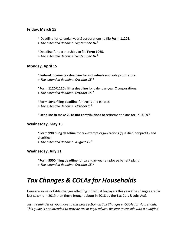#### **Friday, March 15**

\* Deadline for calendar-year S corporations to file **Form 1120S**.

> *The extended deadline: September 16.* 2

\*Deadline for partnerships to file **Form 1065**.

> *The extended deadline: September 16.* 2

#### **Monday, April 15**

\***Federal income tax deadline for individuals and sole proprietors.** > *The extended deadline: October 15.*<sup>2</sup>

\***Form 1120/1120s filing deadline** for calendar-year C corporations. > *The extended deadline: October 15.*<sup>2</sup>

\***Form 1041 filing deadline** for trusts and estates. > *The extended deadline: October 1.*<sup>4</sup>

\***Deadline to make 2018 IRA contributions** to retirement plans for TY 2018. 5

#### **Wednesday, May 15**

**\*Form 990 filing deadline** for tax-exempt organizations (qualified nonprofits and charities).

> *The extended deadline: August 15*. 2

#### **Wednesday, July 31**

**\*Form 5500 filing deadline** for calendar-year employee benefit plans > *The extended deadline: October 15*. 6

## *Tax Changes & COLAs for Households*

Here are some notable changes affecting individual taxpayers this year (the changes are far less seismic in 2019 than those brought about in 2018 by the Tax Cuts & Jobs Act).

*Just a reminder as you move to this new section on Tax Changes & COLAs for Households. This guide is not intended to provide tax or legal advice. Be sure to consult with a qualified*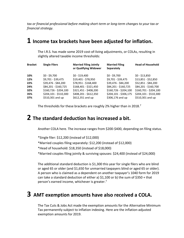*tax or financial professional before making short-term or long-term changes to your tax or financial strategy.*

#### **1 Income tax brackets have been adjusted for inflation.**

The I.R.S. has made some 2019 cost-of-living adjustments, or COLAs, resulting in slightly altered taxable income thresholds:

| <b>Bracket</b> | <b>Single Filers</b>  | <b>Married Filing Jointly</b><br>or Qualifying Widower | <b>Married Filing</b><br>Separately | <b>Head of Household</b> |
|----------------|-----------------------|--------------------------------------------------------|-------------------------------------|--------------------------|
| 10%            | $$0 - $9,700$         | $$0 - $19,400$                                         | $$0 - $9,700$                       | $$0 - $13,850$           |
| 12%            | \$9,701 - \$39,475    | \$19,401 - \$78,950                                    | \$9,701 - \$39,475                  | \$13,851 - \$52,850      |
| 22%            | \$39,476 - \$84,200   | \$78,951 - \$168,400                                   | \$39,476 - \$84,200                 | \$52,851 - \$84,200      |
| 24%            | \$84,201 - \$160,725  | \$168,401 - \$321,450                                  | \$84,201 - \$160,725                | \$84,201 - \$160,700     |
| 32%            | \$160,726 - \$204,100 | \$321,451 - \$408,200                                  | \$160,726 - \$204,100               | \$160,701 - \$204,100    |
| 35%            | \$204,101 - \$510,300 | \$408,201 - \$612,350                                  | \$204,101 - \$306,175               | \$204,101 - \$510,300    |
| 37%            | \$510,301 and up      | \$612,351 and up                                       | \$306,176 and up                    | \$510,301 and up         |

The thresholds for these brackets are roughly 2% higher than in 2018.<sup>7</sup>

#### **2 The standard deduction has increased a bit.**

Another COLA here. The increase ranges from \$200-\$400, depending on filing status.

\*Single filer: \$12,200 (instead of \$12,000)

- \*Married couples filing separately: \$12,200 (instead of \$12,000)
- \*Head of household: \$18,350 (instead of \$18,000)

\*Married couples filing jointly & surviving spouses: \$24,400 (instead of \$24,000)

The additional standard deduction is \$1,300 this year for single filers who are blind or aged 65 or older (and \$1,650 for unmarried taxpayers blind or aged 65 or older). A person who is claimed as a dependent on another taxpayer's 1040 form for 2019 can take a standard deduction of either a)  $$1,100$  or b) the sum of  $$350 + that$ person's earned income, whichever is greater. 7

#### **3 AMT exemption amounts have also received a COLA.**

The Tax Cuts & Jobs Act made the exemption amounts for the Alternative Minimum Tax permanently subject to inflation indexing. Here are the inflation-adjusted exemption amounts for 2019.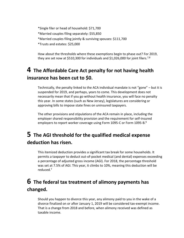\*Single filer or head of household: \$71,700 \*Married couples filing separately: \$55,850 \*Married couples filing jointly & surviving spouses: \$111,700 \*Trusts and estates: \$25,000

How about the thresholds where these exemptions begin to phase out? For 2019, they are set now at \$510,300 for individuals and \$1,026,000 for joint filers.<sup>7,8</sup>

#### **4 The Affordable Care Act penalty for not having health insurance has been cut to \$0.**

Technically, the penalty linked to the ACA individual mandate is not "gone" – but it is suspended for 2019, and perhaps, years to come. This development does not necessarily mean that if you go without health insurance, you will face no penalty this year. In some states (such as New Jersey), legislatures are considering or approving bills to impose state fines on uninsured taxpayers.

The other provisions and stipulations of the ACA remain in place, including the employer shared responsibility provision and the requirement for self-insured employers to report worker coverage using Form 1095-C or Form 1095-B.<sup>9</sup>

#### **5 The AGI threshold for the qualified medical expense deduction has risen.**

This itemized deduction provides a significant tax break for some households. It permits a taxpayer to deduct out-of-pocket medical (and dental) expenses exceeding a percentage of adjusted gross income (AGI). For 2018, the percentage threshold was set at 7.5% of AGI. This year, it climbs to 10%, meaning this deduction will be reduced. 7

#### **6 The federal tax treatment of alimony payments has changed.**

Should you happen to divorce this year, any alimony paid to you in the wake of a divorce finalized on or after January 1, 2019 will be considered tax-exempt income. That is a change from 2018 and before, when alimony received was defined as taxable income.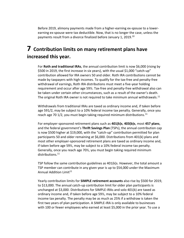Before 2019, alimony payments made from a higher-earning ex-spouse to a lowerearning ex-spouse were tax deductible. Now, that is no longer the case, unless the payments result from a divorce finalized before January 1, 2019.<sup>10</sup>

#### **7 Contribution limits on many retirement plans have increased this year.**

For **Roth and traditional IRAs**, the annual contribution limit is now \$6,000 (rising by \$500 in 2019, the first increase in six years), with the usual \$1,000 "catch-up" contribution allowed for IRA owners 50 and older. Roth IRA contributions cannot be made by taxpayers with high incomes. To qualify for the tax-free and penalty-free withdrawal of earnings, Roth IRA distributions must meet a five-year holding requirement and occur after age 59½. Tax-free and penalty-free withdrawal also can be taken under certain other circumstances, such as a result of the owner's death. The original Roth IRA owner is not required to take minimum annual withdrawals.<sup>11</sup>

Withdrawals from traditional IRAs are taxed as ordinary income and, if taken before age 591/2, may be subject to a 10% federal income tax penalty. Generally, once you reach age 70 1/2, you must begin taking required minimum distributions.<sup>11</sup>

For employer-sponsored retirement plans such as **401(k)s**, **403(b)s**, most **457 plans**, and the federal government's **Thrift Savings Plan** (TSPs), the annual contribution cap is now \$500 higher at \$19,000, with the "catch-up" contribution permitted for plan participants 50 and older remaining at \$6,000. Distributions from 401(k) plans and most other employer-sponsored retirement plans are taxed as ordinary income and, if taken before age 59½, may be subject to a 10% federal income tax penalty. Generally, once you reach age 70½, you must begin taking required minimum distributions.<sup>11</sup>

TSP follow the same contribution guidelines as 401(k)s. However, the total amount a TSP member can contribute in any given year is up to \$54,000 under the Maximum Annual Addition Limit<sup>11</sup>

Yearly contribution limits for **SIMPLE retirement accounts** also rise by \$500 for 2019, to \$13,000. The annual catch-up contribution limit for older plan participants is unchanged at \$3,000. Distributions for SIMPLE-IRAs and solo 401(k) are taxed as ordinary income and, if taken before age 59½, may be subject to a 10% federal income tax penalty. The penalty may be as much as 25% if a withdraw is taken the first two years of plan participation. A SIMPLE-IRA is only available to businesses with 100 or fewer employees who earned at least \$5,000 in the prior year. To use a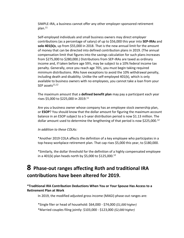SIMPLE-IRA, a business cannot offer any other employer-sponsored retirement plan. 11

Self-employed individuals and small business owners may direct employer contributions (as a percentage of salary) of up to \$56,000 this year into **SEP-IRAs** and **solo 401(k)s**, up from \$55,000 in 2018. That is the new annual limit for the amount of money that can be directed into defined contribution plans in 2019. (The annual compensation limit that figures into the savings calculation for such plans increases from \$275,000 to \$280,000.) Distributions from SEP-IRAs are taxed as ordinary income and, if taken before age 59½, may be subject to a 10% federal income tax penalty. Generally, once you reach age 70½, you must begin taking required minimum distributions. IRAs have exceptions to avoid the 10% withdrawal penalty, including death and disability. Unlike the self-employed 401(k), which is only available to business owners with no employees, you cannot take a loan from your SEP assets $11,12$ 

The maximum amount that a **defined benefit plan** may pay a participant each year rises \$5,000 to \$225,000 in 2019. 11

Are you a business owner whose company has an employee stock ownership plan, or **ESOP**? You should know that the dollar amount for figuring the maximum account balance in an ESOP subject to a 5-year distribution period is now \$1.13 million. The dollar amount used to determine the lengthening of that period is now \$225,000.<sup>12</sup>

#### *In addition to these COLAs:*

\*Another 2019 COLA affects the definition of a key employee who participates in a top-heavy workplace retirement plan. That cap rises \$5,000 this year, to \$180,000.

\*Similarly, the dollar threshold for the definition of a highly compensated employee in a 401(k) plan heads north by \$5,000 to \$125,000. 12

#### **8 Phase-out ranges affecting Roth and traditional IRA contributions have been altered for 2019.**

#### **\*Traditional IRA Contribution Deductions When You or Your Spouse Has Access to a Retirement Plan at Work**

In 2019, the modified adjusted gross income (MAGI) phase-out ranges are:

\*Single filer or head of household: \$64,000 - \$74,000 *(\$1,000 higher)* \*Married couples filing jointly: \$103,000 - \$123,000 *(\$2,000 higher)*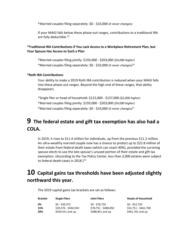\*Married couples filing separately: \$0 - \$10,000 *(it never changes)*

If your MAGI falls below these phase-out ranges, contributions to a traditional IRA are fully deductible.<sup>12</sup>

#### **\*Traditional IRA Contributions if You Lack Access to a Workplace Retirement Plan, but Your Spouse Has Access to Such a Plan**

\*Married couples filing jointly: \$193,000 - \$203,000 *(\$4,000 higher)* \*Married couples filing separately: \$0 - \$10,000 *(it never changes)*<sup>12</sup>

#### **\*Roth IRA Contributions**

Your ability to make a 2019 Roth IRA contribution is reduced when your MAGI falls into these phase-out ranges. Beyond the high end of these ranges, that ability disappears.

\*Single filer or head of household: \$122,000 - \$137,000 *(\$2,000 higher)*

\*Married couples filing jointly: \$193,000 - \$203,000 *(\$4,000 higher)*

\*Married couples filing separately: \$0 - \$10,000 *(it never changes)*<sup>12</sup>

## **9 The federal estate and gift tax exemption has also had a COLA.**

In 2019, it rises to \$11.4 million for individuals, up from the previous \$11.2 million. An ultra-wealthy married couple now has a chance to protect up to \$22.8 million of their estate from federal death taxes (which can reach 40%), provided the surviving spouse elects to use the late spouse's unused portion of their estate and gift tax exemption. (According to the Tax Policy Center, less than 2,000 estates were subject to federal death taxes in 2018. $1^{13}$ 

## **10 Capital gains tax thresholds have been adjusted slightly northward this year.**

The 2019 capital gains tax brackets are set as follows:

| <b>Bracket</b> | <b>Single Filers</b> | <b>Joint Filers</b>  | <b>Heads of Household</b> |
|----------------|----------------------|----------------------|---------------------------|
| 0%             | \$0 - \$39.375       | \$0 - \$78.750       | \$0 - \$52.750            |
| 15%            | \$39.376 - \$434.550 | \$78.751 - \$488.850 | \$52,751 - \$461,700      |
| 20%            | $$434,551$ and up    | \$488,851 and up     | \$461,701 and up          |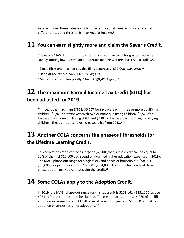As a reminder, these rates apply to long-term capital gains, which are taxed at different rates and thresholds than regular income.<sup>14</sup>

#### **11 You can earn slightly more and claim the Saver's Credit.**

The yearly MAGI limit for this tax credit, an incentive to foster greater retirement savings among low-income and moderate-income workers, has risen as follows:

\*Single filers and married couples filing separately: \$32,000 *(\$500 higher)* \*Head of household: \$48,000 *(\$750 higher)* \*Married couples filing jointly: \$64,000 *(\$1,000 higher)*<sup>12</sup>

## **12 The maximum Earned Income Tax Credit (EITC) has been adjusted for 2019.**

This year, the maximum EITC is \$6,557 for taxpayers with three or more qualifying children, \$5,828 for taxpayers with two or more qualifying children, \$3,526 for taxpayers with one qualifying child, and \$529 for taxpayers without any qualifying children. These amounts have increased a bit from 2018.<sup>14</sup>

## **13 Another COLA concerns the phaseout thresholds for the Lifetime Learning Credit.**

This education credit can be as large as \$2,000 (that is, the credit can be equal to 20% of the first \$10,000 you spend on qualified higher education expenses in 2019). The MAGI phase-out range for single filers and heads of household is \$58,001 - \$68,000. For joint filers, it is \$116,000 - \$134,000. Above the high ends of these phase-out ranges, you cannot claim the credit. $^{15}$ 

#### **14 Some COLAs apply to the Adoption Credit.**

In 2019, the MAGI phase-out range for this tax credit is \$211,161 - \$251,160; above \$251,160, the credit cannot be claimed. The credit maxes out at \$14,080 of qualified adoption expenses for a child with special needs this year and \$13,810 of qualified adoption expenses for other adoptions.<sup>7,16</sup>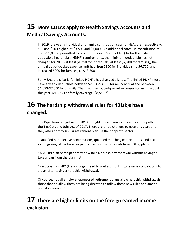## **15 More COLAs apply to Health Savings Accounts and Medical Savings Accounts.**

In 2019, the yearly individual and family contribution caps for HSAs are, respectively, \$50 and \$100 higher, at \$3,500 and \$7,000. (An additional catch-up contribution of up to \$1,000 is permitted for accountholders 55 and older.) As for the highdeductible health plan (HDHP) requirements, the minimum deductible has not changed for 2019 (at least \$1,350 for individuals; at least \$2,700 for families); the annual out-of-pocket expense limit has risen \$100 for individuals, to \$6,750, and increased \$200 for families, to \$13,500.

For MSAs, the criteria for linked HDHPs has changed slightly. The linked HDHP must have a yearly deductible between \$2,350-\$3,500 for an individual and between \$4,650-\$7,000 for a family. The maximum out-of-pocket expenses for an individual this year: \$4,650. For family coverage:  $$8,550.<sup>5,7</sup>$ 

## **16 The hardship withdrawal rules for 401(k)s have changed.**

The Bipartisan Budget Act of 2018 brought some changes following in the path of the Tax Cuts and Jobs Act of 2017. There are three changes to note this year, and they also apply to similar retirement plans in the nonprofit sector.

\*Qualified non-elective contributions, qualified matching contributions, and account earnings may all be taken as part of hardship withdrawals from 401(k) plans.

\*A 401(k) plan participant may now take a hardship withdrawal without having to take a loan from the plan first.

\*Participants in 401(k)s no longer need to wait six months to resume contributing to a plan after taking a hardship withdrawal.

Of course, not all employer-sponsored retirement plans allow hardship withdrawals; those that do allow them are being directed to follow these new rules and amend plan documents.<sup>17</sup>

## **17 There are higher limits on the foreign earned income exclusion.**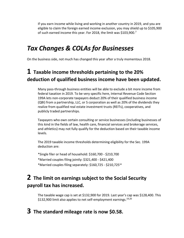If you earn income while living and working in another country in 2019, and you are eligible to claim the foreign earned income exclusion, you may shield up to \$105,900 of such earned income this year. For 2018, the limit was \$103,900.<sup>7</sup>

## *Tax Changes & COLAs for Businesses*

On the business side, not much has changed this year after a truly momentous 2018.

## **1 Taxable income thresholds pertaining to the 20% deduction of qualified business income have been updated.**

Many pass-through business entities will be able to exclude a bit more income from federal taxation in 2019. To be very specific here, Internal Revenue Code Section 199A lets non-corporate taxpayers deduct 20% of their qualified business income (QBI) from a partnership, LLC, or S corporation as well as 20% of the dividends they realize from qualified real estate investment trusts (REITs), cooperatives, and publicly traded partnerships.

Taxpayers who own certain consulting or service businesses (including businesses of this kind in the fields of law, health care, financial services and brokerage services, and athletics) may not fully qualify for the deduction based on their taxable income levels.

The 2019 taxable income thresholds determining eligibility for the Sec. 199A deduction are:

\*Single filer or head of household: \$160,700 - \$210,700 \*Married couples filing jointly: \$321,400 - \$421,400 \*Married couples filing separately: \$160,725 - \$210,725<sup>18</sup>

## **2 The limit on earnings subject to the Social Security payroll tax has increased.**

The taxable wage cap is set at \$132,900 for 2019. Last year's cap was \$128,400. This \$132,900 limit also applies to net self-employment earnings.<sup>19,20</sup>

#### **3 The standard mileage rate is now \$0.58.**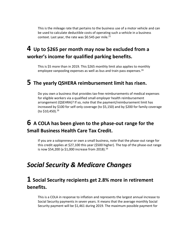This is the mileage rate that pertains to the business use of a motor vehicle and can be used to calculate deductible costs of operating such a vehicle in a business context. Last year, the rate was \$0.545 per mile. $^{21}$ 

## **4 Up to \$265 per month may now be excluded from a worker's income for qualified parking benefits.**

This is \$5 more than in 2019. This \$265 monthly limit also applies to monthly employee vanpooling expenses as well as bus and train pass expenses. 16

#### **5 The yearly QSHERA reimbursement limit has risen.**

Do you own a business that provides tax-free reimbursements of medical expenses for eligible workers via a qualified small employer health reimbursement arrangement (QSEHRA)? If so, note that the payment/reimbursement limit has increased by \$100 for self-only coverage (to \$5,150) and by \$200 for family coverage (to \$10,450).<sup>16</sup>

#### **6 A COLA has been given to the phase-out range for the Small Business Health Care Tax Credit.**

If you are a solopreneur or own a small business, note that the phase-out range for this credit applies at \$27,100 this year (\$500 higher). The top of the phase-out range is now \$54,200 (a \$1,000 increase from 2018).<sup>16</sup>

## *Social Security & Medicare Changes*

#### **1 Social Security recipients get 2.8% more in retirement benefits.**

This is a COLA in response to inflation and represents the largest annual increase to Social Security payments in seven years. It means that the average monthly Social Security payment will be \$1,461 during 2019. The maximum possible payment for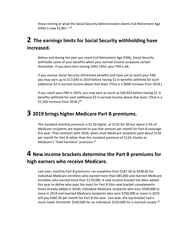those retiring at what the Social Security Administration deems Full Retirement Age (FRA) is now  $$2,861.<sup>1,19</sup>$ 

#### **2 The earnings limits for Social Security withholding have increased.**

Before and during the year you reach Full Retirement Age (FRA), Social Security withholds some of your benefits when your earned income surpasses certain thresholds. If you were born during 1943-1954, your FRA is 66.

If you receive Social Security retirement benefits and have yet to reach your FRA, you may earn up to \$17,640 in 2019 before having \$1 in benefits withheld for each additional \$2 in earned income above that level. (That is a \$600 increase from 2018.)

If you reach your FRA in 2019, you may earn as much as \$46,920 before having \$1 in benefits withheld for each additional \$3 in earned income above that level. (That is a \$1,560 increase from  $2018.$ )<sup>18</sup>

#### **3 2019 brings higher Medicare Part B premiums.**

The standard monthly premium is \$1.50 higher, at \$135.50. All but about 3.5% of Medicare recipients are expected to pay that amount per month for Part B coverage this year. That contrasts with 2018, when most Medicare recipients paid about \$130 per month for Part B rather than the standard premium of \$134, thanks to Medicare's "hold harmless" provision.<sup>22</sup>

#### **4 New income brackets determine the Part B premiums for high earners who receive Medicare.**

Last year, monthly Part B premiums ran anywhere from \$187.50 to \$428.60 for individual Medicare enrollees who earned more than \$85,000 and married Medicare enrollees who earned more than \$170,000. A new income bracket has been added this year to define who pays the most for Part B (this new bracket complements those already added in 2018). Individual Medicare recipients who earn \$500,000 or more in 2019 and married Medicare recipients who earn \$750,000 or more in 2019 will pay \$460.50 per month for Part B this year. Last year, the top bracket had a much lower threshold: \$160,000 for an individual; \$320,000 for a married couple.<sup>22</sup>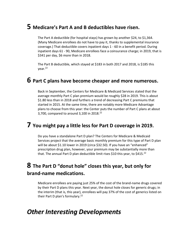#### **5 Medicare's Part A and B deductibles have risen.**

The Part A deductible (for hospital stays) has grown by another \$24, to \$1,364. (Many Medicare enrollees do not have to pay it, thanks to supplemental insurance coverage.) That deductible covers inpatient days 1 - 60 in a benefit period. During inpatient days 61 - 90, Medicare enrollees face a coinsurance charge; in 2019, that is \$341 per day, \$6 more than in 2018.

The Part B deductible, which stayed at \$183 in both 2017 and 2018, is \$185 this year.<sup>22</sup>

#### **6 Part C plans have become cheaper and more numerous.**

Back in September, the Centers for Medicare & Medicaid Services stated that the average monthly Part C plan premium would be roughly \$28 in 2019. This is about \$1.80 less than in 2018 and furthers a trend of decreasing Part C premiums that started in 2015. At the same time, there are notably more Medicare Advantage plans to choose from this year: the Center puts the number of Part C plans at about 3,700, compared to around 3,100 in 2018. $^{22}$ 

#### **7 You might pay a little less for Part D coverage in 2019.**

Do you have a standalone Part D plan? The Centers for Medicare & Medicaid Services project that the average basic monthly premium for this type of Part D plan will be about \$1.10 lower in 2019 (circa \$32.50). If you have an "enhanced" prescription drug plan, however, your premium may be substantially more than that. The annual Part D plan deductible limit rises \$10 this vear, to \$415.<sup>22</sup>

#### **8 The Part D "donut hole" closes this year, but only for brand-name medications.**

Medicare enrollees are paying just 25% of the cost of the brand-name drugs covered by their Part D plans this year. Next year, the donut hole closes for generic drugs; in the interim (that is, this year), enrollees will pay 37% of the cost of generics listed on their Part D plan's formulary.<sup>22</sup>

#### *Other Interesting Developments*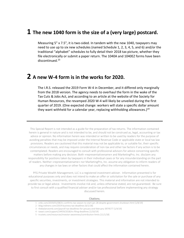#### **1 The new 1040 form is the size of a (very large) postcard.**

Measuring 5" x 7.5", it is two-sided. In tandem with the new 1040, taxpayers may need to use up to six new schedules (named Schedule 1, 2, 3, 4, 5, and 6) and/or the traditional "alphabet" schedules to fully detail their 2018 tax picture, whether they file electronically or submit a paper return. The 1040A and 1040EZ forms have been discontinued.<sup>23</sup>

#### **2 A new W-4 form is in the works for 2020.**

The I.R.S. released the 2019 Form W-4 in December, and it differed only marginally from the 2018 version. The agency needs to overhaul the form in the wake of the Tax Cuts & Jobs Act, and according to an article at the website of the Society for Human Resources, the revamped 2020 W-4 will likely be unveiled during the first quarter of 2019. (One expected change: workers will state a specific dollar amount they want withheld for a calendar year, replacing withholding allowances.)<sup>19</sup>

This Special Report is not intended as a guide for the preparation of tax returns. The information contained herein is general in nature and is not intended to be, and should not be construed as, legal, accounting or tax advice or opinion. No information herein was intended or written to be used by readers for the purpose of avoiding penalties that may be imposed under the Internal Revenue Code or applicable state or local tax law provisions. Readers are cautioned that this material may not be applicable to, or suitable for, their specific circumstances or needs, and may require consideration of non-tax and other tax factors if any action is to be contemplated. Readers are encouraged to consult with professional advisors for advice concerning specific matters before making any decision. Both «representativename» and MarketingPro, Inc. disclaim any responsibility for positions taken by taxpayers in their individual cases or for any misunderstanding on the part of readers. Neither «representativename» nor MarketingPro, Inc. assume any obligation to inform readers of any changes in tax laws or other factors that could affect the information contained herein.

PFG Private Wealth Management, LLC is a registered investment adviser. Information presented is for educational purposes only and does not intend to make an offer or solicitation for the sale or purchase of any specific securities, investments, or investment strategies. This material and information are not intended to provide tax or legal advice. Investments involve risk and, unless otherwise stated, are not guaranteed. Be sure to first consult with a qualified financial adviser and/or tax professional before implementing any strategy discussed herein.

#### Citations.

- 1 cnbc.com/2019/01/08/irs-confirms-tax-season-to-start-jan-28-despite-government-shutdown.html [1/8/19]
- 2 blog.indinero.com/2019-business-tax-deadlines [6/1/18]
- 3 thebalancesmb.com/payroll-tax-deadlines-for-january-and-february-3974577 [1/4/19]
- 4 taxact.com/support/24459/2018/irs-filing-deadlines [1/10/19]
- 5 trustetc.com/resources/investor-awareness/contribution-limits [11/1/18]